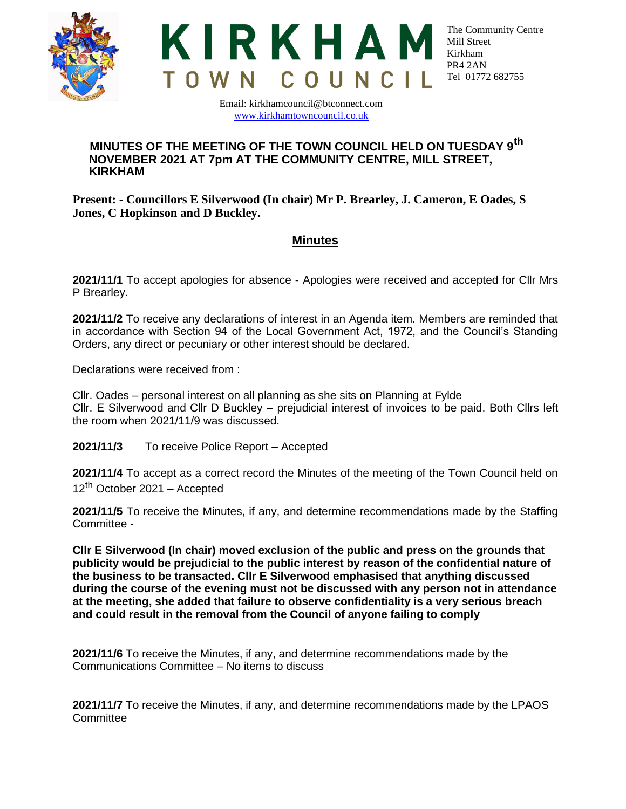



Email: kirkhamcouncil@btconnect.com [www.kirkhamtowncouncil.co.uk](http://www.kirkhamtowncouncil.co.uk/)

## **MINUTES OF THE MEETING OF THE TOWN COUNCIL HELD ON TUESDAY 9th NOVEMBER 2021 AT 7pm AT THE COMMUNITY CENTRE, MILL STREET, KIRKHAM**

**Present: - Councillors E Silverwood (In chair) Mr P. Brearley, J. Cameron, E Oades, S Jones, C Hopkinson and D Buckley.**

## **Minutes**

**2021/11/1** To accept apologies for absence - Apologies were received and accepted for Cllr Mrs P Brearley.

**2021/11/2** To receive any declarations of interest in an Agenda item. Members are reminded that in accordance with Section 94 of the Local Government Act, 1972, and the Council's Standing Orders, any direct or pecuniary or other interest should be declared.

Declarations were received from :

Cllr. Oades – personal interest on all planning as she sits on Planning at Fylde Cllr. E Silverwood and Cllr D Buckley – prejudicial interest of invoices to be paid. Both Cllrs left the room when 2021/11/9 was discussed.

**2021/11/3** To receive Police Report – Accepted

**2021/11/4** To accept as a correct record the Minutes of the meeting of the Town Council held on 12<sup>th</sup> October 2021 – Accepted

**2021/11/5** To receive the Minutes, if any, and determine recommendations made by the Staffing Committee -

**Cllr E Silverwood (In chair) moved exclusion of the public and press on the grounds that publicity would be prejudicial to the public interest by reason of the confidential nature of the business to be transacted. Cllr E Silverwood emphasised that anything discussed during the course of the evening must not be discussed with any person not in attendance at the meeting, she added that failure to observe confidentiality is a very serious breach and could result in the removal from the Council of anyone failing to comply**

**2021/11/6** To receive the Minutes, if any, and determine recommendations made by the Communications Committee – No items to discuss

**2021/11/7** To receive the Minutes, if any, and determine recommendations made by the LPAOS **Committee**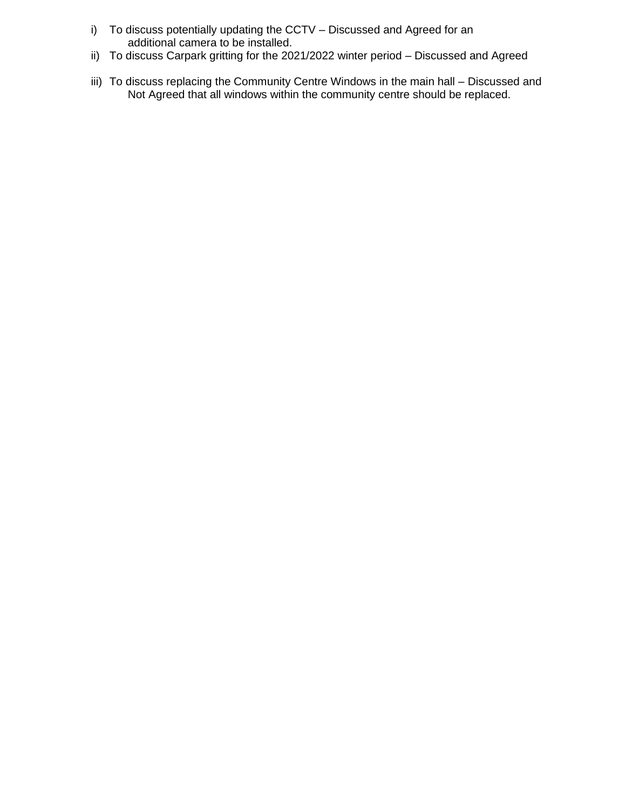- i) To discuss potentially updating the CCTV Discussed and Agreed for an additional camera to be installed.
- ii) To discuss Carpark gritting for the 2021/2022 winter period Discussed and Agreed
- iii) To discuss replacing the Community Centre Windows in the main hall Discussed and Not Agreed that all windows within the community centre should be replaced.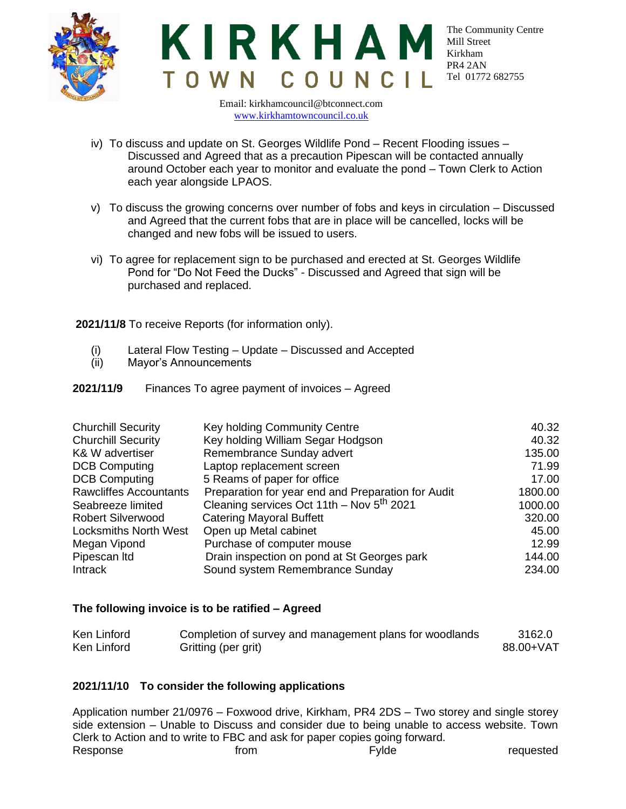



Email: kirkhamcouncil@btconnect.com [www.kirkhamtowncouncil.co.uk](http://www.kirkhamtowncouncil.co.uk/)

- iv) To discuss and update on St. Georges Wildlife Pond Recent Flooding issues Discussed and Agreed that as a precaution Pipescan will be contacted annually around October each year to monitor and evaluate the pond – Town Clerk to Action each year alongside LPAOS.
- v) To discuss the growing concerns over number of fobs and keys in circulation Discussed and Agreed that the current fobs that are in place will be cancelled, locks will be changed and new fobs will be issued to users.
- vi) To agree for replacement sign to be purchased and erected at St. Georges Wildlife Pond for "Do Not Feed the Ducks" - Discussed and Agreed that sign will be purchased and replaced.

**2021/11/8** To receive Reports (for information only).

- (i) Lateral Flow Testing Update Discussed and Accepted
- (ii) Mayor's Announcements
- **2021/11/9** Finances To agree payment of invoices Agreed

| <b>Churchill Security</b>     | Key holding Community Centre                          | 40.32   |
|-------------------------------|-------------------------------------------------------|---------|
| <b>Churchill Security</b>     | Key holding William Segar Hodgson                     | 40.32   |
| K& W advertiser               | Remembrance Sunday advert                             | 135.00  |
| <b>DCB Computing</b>          | Laptop replacement screen                             | 71.99   |
| <b>DCB Computing</b>          | 5 Reams of paper for office                           | 17.00   |
| <b>Rawcliffes Accountants</b> | Preparation for year end and Preparation for Audit    | 1800.00 |
| Seabreeze limited             | Cleaning services Oct 11th - Nov 5 <sup>th</sup> 2021 | 1000.00 |
| <b>Robert Silverwood</b>      | <b>Catering Mayoral Buffett</b>                       | 320.00  |
| <b>Locksmiths North West</b>  | Open up Metal cabinet                                 | 45.00   |
| Megan Vipond                  | Purchase of computer mouse                            | 12.99   |
| Pipescan Itd                  | Drain inspection on pond at St Georges park           | 144.00  |
| Intrack                       | Sound system Remembrance Sunday                       | 234.00  |

## **The following invoice is to be ratified – Agreed**

| Ken Linford | Completion of survey and management plans for woodlands | 3162.0    |
|-------------|---------------------------------------------------------|-----------|
| Ken Linford | Gritting (per grit)                                     | 88.00+VAT |

## **2021/11/10 To consider the following applications**

Application number 21/0976 – Foxwood drive, Kirkham, PR4 2DS – Two storey and single storey side extension – Unable to Discuss and consider due to being unable to access website. Town Clerk to Action and to write to FBC and ask for paper copies going forward. Response and the from the requested requested requested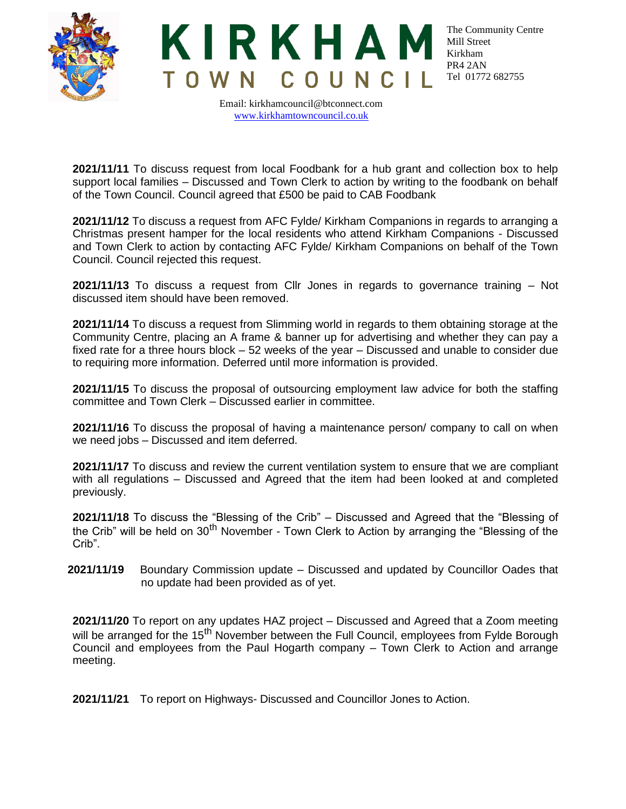



Email: kirkhamcouncil@btconnect.com [www.kirkhamtowncouncil.co.uk](http://www.kirkhamtowncouncil.co.uk/)

**2021/11/11** To discuss request from local Foodbank for a hub grant and collection box to help support local families – Discussed and Town Clerk to action by writing to the foodbank on behalf of the Town Council. Council agreed that £500 be paid to CAB Foodbank

**2021/11/12** To discuss a request from AFC Fylde/ Kirkham Companions in regards to arranging a Christmas present hamper for the local residents who attend Kirkham Companions - Discussed and Town Clerk to action by contacting AFC Fylde/ Kirkham Companions on behalf of the Town Council. Council rejected this request.

**2021/11/13** To discuss a request from Cllr Jones in regards to governance training – Not discussed item should have been removed.

**2021/11/14** To discuss a request from Slimming world in regards to them obtaining storage at the Community Centre, placing an A frame & banner up for advertising and whether they can pay a fixed rate for a three hours block – 52 weeks of the year – Discussed and unable to consider due to requiring more information. Deferred until more information is provided.

**2021/11/15** To discuss the proposal of outsourcing employment law advice for both the staffing committee and Town Clerk – Discussed earlier in committee.

**2021/11/16** To discuss the proposal of having a maintenance person/ company to call on when we need jobs – Discussed and item deferred.

**2021/11/17** To discuss and review the current ventilation system to ensure that we are compliant with all regulations – Discussed and Agreed that the item had been looked at and completed previously.

**2021/11/18** To discuss the "Blessing of the Crib" – Discussed and Agreed that the "Blessing of the Crib" will be held on 30<sup>th</sup> November - Town Clerk to Action by arranging the "Blessing of the Crib".

**2021/11/19** Boundary Commission update – Discussed and updated by Councillor Oades that no update had been provided as of yet.

**2021/11/20** To report on any updates HAZ project – Discussed and Agreed that a Zoom meeting will be arranged for the 15<sup>th</sup> November between the Full Council, employees from Fylde Borough Council and employees from the Paul Hogarth company – Town Clerk to Action and arrange meeting.

**2021/11/21** To report on Highways- Discussed and Councillor Jones to Action.